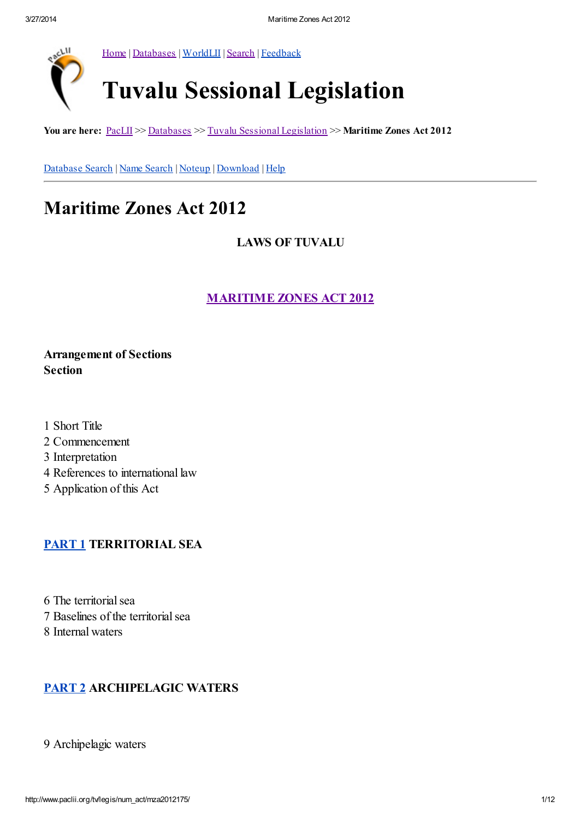

[Home](http://www.paclii.org/) | [Databases](http://www.paclii.org/databases.html) | [WorldLII](http://www.worldlii.org/) | [Search](http://www.paclii.org/form/search/search1.html) | [Feedback](http://www.paclii.org/paclii/feedback.html)

# Tuvalu Sessional Legislation

You are here:  $\underline{\text{PaclII}} \gg \underline{\text{Database}} \gg \underline{\text{Tuvalu Sessional Legislation}} \gg \underline{\text{Maritime Zones Act 2012}}$  $\underline{\text{PaclII}} \gg \underline{\text{Database}} \gg \underline{\text{Tuvalu Sessional Legislation}} \gg \underline{\text{Maritime Zones Act 2012}}$  $\underline{\text{PaclII}} \gg \underline{\text{Database}} \gg \underline{\text{Tuvalu Sessional Legislation}} \gg \underline{\text{Maritime Zones Act 2012}}$ 

[Database](http://www.paclii.org/form/search/search1.html?mask=tv/legis/num_act) Search | Name [Search](http://www.paclii.org/form/search/search1.html?mask=tv/legis/num_act&title=1) | [Noteup](http://www.paclii.org/cgi-bin/sinosrch.cgi?method=boolean&meta=/paclii&results=50&query=mza2012175) | [Download](http://www.paclii.org/tv/legis/num_act/mza2012175.rtf) | [Help](http://www.paclii.org/paclii/help/legis.html)

# Maritime Zones Act 2012

LAWS OF TUVALU

[MARITIME](http://www.paclii.org/tv/legis/num_act/mza2012175/) ZONES ACT 2012

Arrangement of Sections Section

 Short Title Commencement Interpretation References to international law Application of this Act

# [PART](http://www.paclii.org/tv/legis/num_act/mza2012175/index.html#p1) 1 TERRITORIAL SEA

6 The territorial sea 7 Baselines of the territorial sea 8 Internal waters

# [PART](http://www.paclii.org/tv/legis/num_act/mza2012175/index.html#p2) 2 ARCHIPELAGIC WATERS

9 Archipelagic waters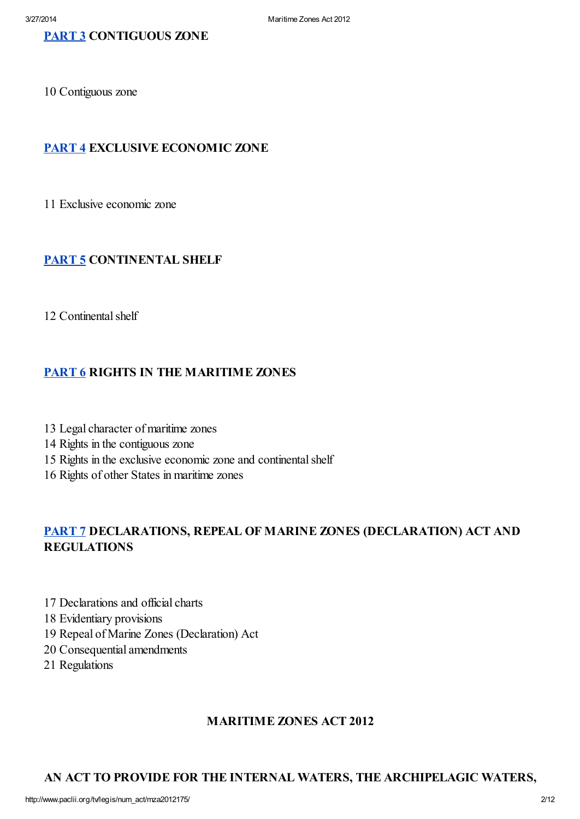10 Contiguous zone

# [PART](http://www.paclii.org/tv/legis/num_act/mza2012175/index.html#p4) 4 EXCLUSIVE ECONOMIC ZONE

11 Exclusive economic zone

# [PART](http://www.paclii.org/tv/legis/num_act/mza2012175/index.html#p5) 5 CONTINENTAL SHELF

12 Continental shelf

# [PART](http://www.paclii.org/tv/legis/num_act/mza2012175/index.html#p6) 6 RIGHTS IN THE MARITIME ZONES

- 13 Legal character of maritime zones
- 14 Rights in the contiguous zone
- 15 Rights in the exclusive economic zone and continental shelf
- 16 Rights of other States in maritime zones

# [PART](http://www.paclii.org/tv/legis/num_act/mza2012175/index.html#p7) 7 DECLARATIONS, REPEAL OF MARINE ZONES (DECLARATION) ACT AND REGULATIONS

- 17 Declarations and official charts
- 18 Evidentiary provisions
- 19 Repeal of Marine Zones (Declaration) Act
- 20 Consequential amendments
- 21 Regulations

#### MARITIME ZONES ACT 2012

#### AN ACT TO PROVIDE FOR THE INTERNAL WATERS, THE ARCHIPELAGIC WATERS,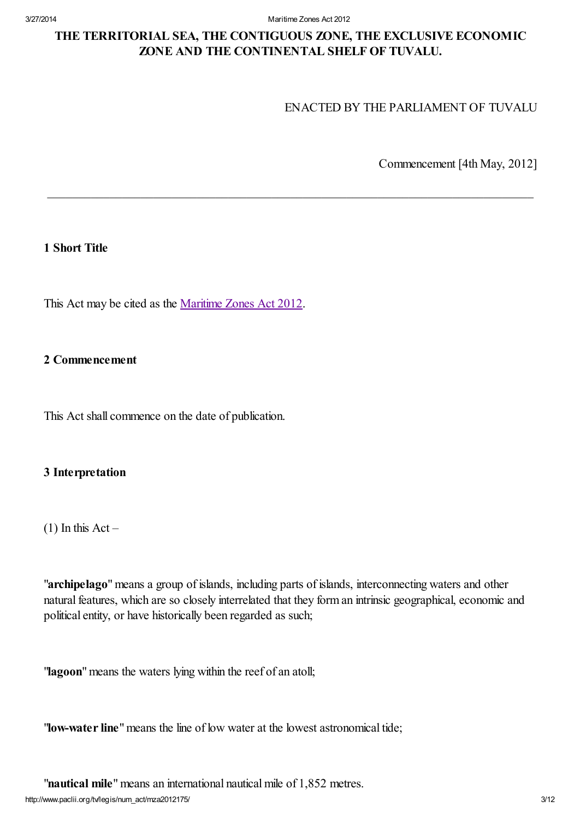3/27/2014 Maritime Zones Act 2012

# THE TERRITORIAL SEA, THE CONTIGUOUS ZONE, THE EXCLUSIVE ECONOMIC ZONE AND THE CONTINENTAL SHELF OF TUVALU.

 $\_$  , and the set of the set of the set of the set of the set of the set of the set of the set of the set of the set of the set of the set of the set of the set of the set of the set of the set of the set of the set of th

#### ENACTED BY THE PARLIAMENT OF TUVALU

Commencement [4th May, 2012]

#### 1 Short Title

This Act may be cited as the [Maritime](http://www.paclii.org/tv/legis/num_act/mza2012175/) Zones Act 2012.

#### 2 Commencement

This Act shall commence on the date of publication.

#### 3 Interpretation

 $(1)$  In this Act –

"archipelago" means a group of islands, including parts of islands, interconnecting waters and other natural features, which are so closely interrelated that they form an intrinsic geographical, economic and political entity, or have historically been regarded as such;

"lagoon" means the waters lying within the reef of an atoll;

"low-water line" means the line of low water at the lowest astronomical tide;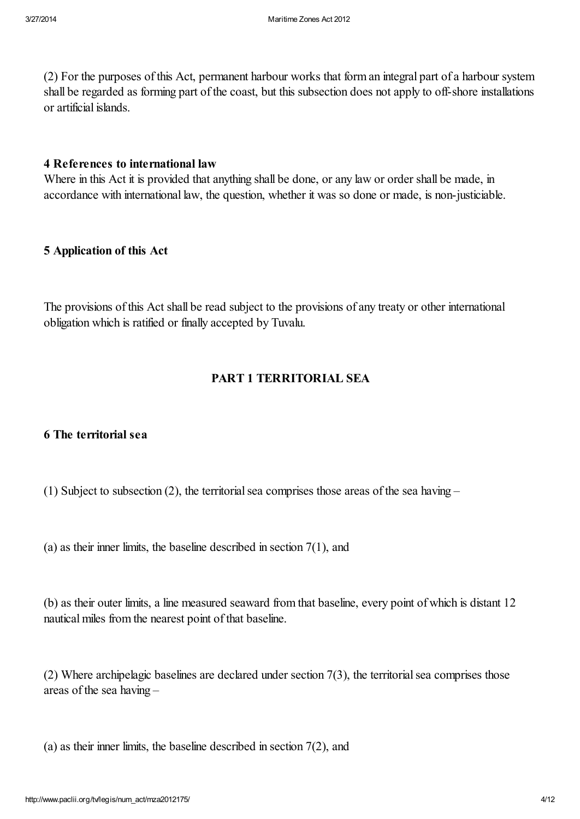(2) For the purposes of this Act, permanent harbour works that form an integral part of a harbour system shall be regarded as forming part of the coast, but this subsection does not apply to off-shore installations or artificial islands.

#### 4 References to international law

Where in this Act it is provided that anything shall be done, or any law or order shall be made, in accordance with international law, the question, whether it was so done or made, is non-justiciable.

# 5 Application of this Act

The provisions of this Act shall be read subject to the provisions of any treaty or other international obligation which is ratified or finally accepted by Tuvalu.

# PART 1 TERRITORIAL SEA

# 6 The territorial sea

(1) Subject to subsection (2), the territorial sea comprises those areas of the sea having –

(a) as their inner limits, the baseline described in section  $7(1)$ , and

(b) as their outer limits, a line measured seaward from that baseline, every point of which is distant 12 nautical miles from the nearest point of that baseline.

(2) Where archipelagic baselines are declared under section  $7(3)$ , the territorial sea comprises those areas of the sea having –

(a) as their inner limits, the baseline described in section  $7(2)$ , and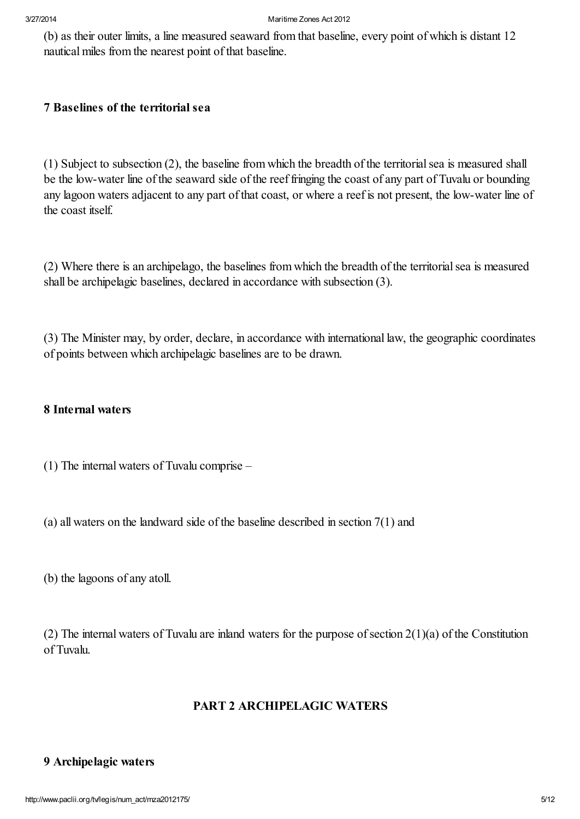(b) as their outer limits, a line measured seaward from that baseline, every point of which is distant 12 nautical miles from the nearest point of that baseline.

# 7 Baselines of the territorial sea

(1) Subject to subsection (2), the baseline from which the breadth of the territorialsea is measured shall be the low-water line of the seaward side of the reef fringing the coast of any part of Tuvalu or bounding any lagoon waters adjacent to any part of that coast, or where a reef is not present, the low-water line of the coast itself.

(2) Where there is an archipelago, the baselines from which the breadth of the territorialsea is measured shall be archipelagic baselines, declared in accordance with subsection (3).

(3) The Minister may, by order, declare, in accordance with international law, the geographic coordinates of points between which archipelagic baselines are to be drawn.

#### 8 Internal waters

(1) The internal waters of Tuvalu comprise –

- (a) all waters on the landward side of the baseline described in section 7(1) and
- (b) the lagoons of any atoll.

(2) The internal waters of Tuvalu are inland waters for the purpose of section  $2(1)(a)$  of the Constitution of Tuvalu.

# PART 2 ARCHIPELAGIC WATERS

#### 9 Archipelagic waters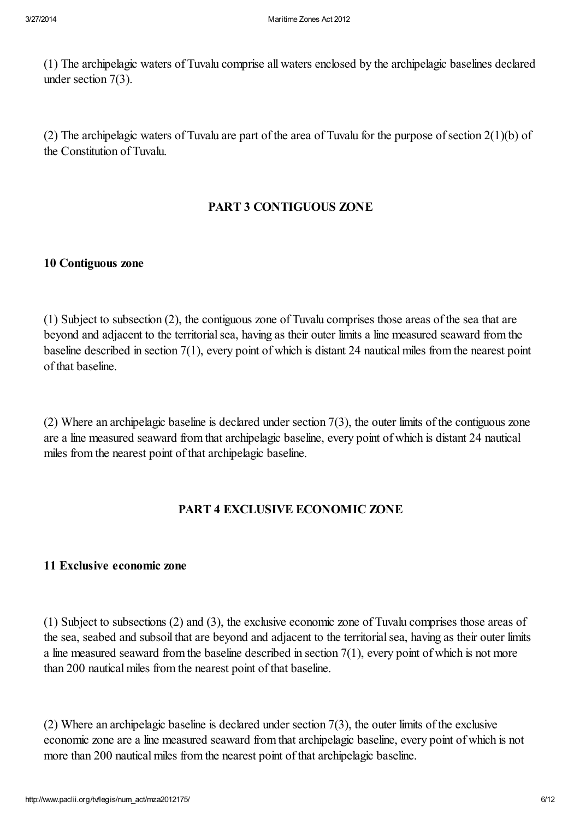(1) The archipelagic waters of Tuvalu comprise all waters enclosed by the archipelagic baselines declared under section 7(3).

(2) The archipelagic waters of Tuvalu are part of the area of Tuvalu for the purpose of section  $2(1)(b)$  of the Constitution of Tuvalu.

# PART 3 CONTIGUOUS ZONE

#### 10 Contiguous zone

(1) Subject to subsection (2), the contiguous zone of Tuvalu comprises those areas of the sea that are beyond and adjacent to the territorialsea, having as their outer limits a line measured seaward from the baseline described in section 7(1), every point of which is distant 24 nautical miles from the nearest point of that baseline.

(2) Where an archipelagic baseline is declared under section 7(3), the outer limits of the contiguous zone are a line measured seaward from that archipelagic baseline, every point of which is distant 24 nautical miles from the nearest point of that archipelagic baseline.

# PART 4 EXCLUSIVE ECONOMIC ZONE

#### 11 Exclusive economic zone

(1) Subject to subsections (2) and (3), the exclusive economic zone of Tuvalu comprises those areas of the sea, seabed and subsoil that are beyond and adjacent to the territorialsea, having as their outer limits a line measured seaward from the baseline described in section  $7(1)$ , every point of which is not more than 200 nautical miles from the nearest point of that baseline.

(2) Where an archipelagic baseline is declared under section 7(3), the outer limits of the exclusive economic zone are a line measured seaward from that archipelagic baseline, every point of which is not more than 200 nautical miles from the nearest point of that archipelagic baseline.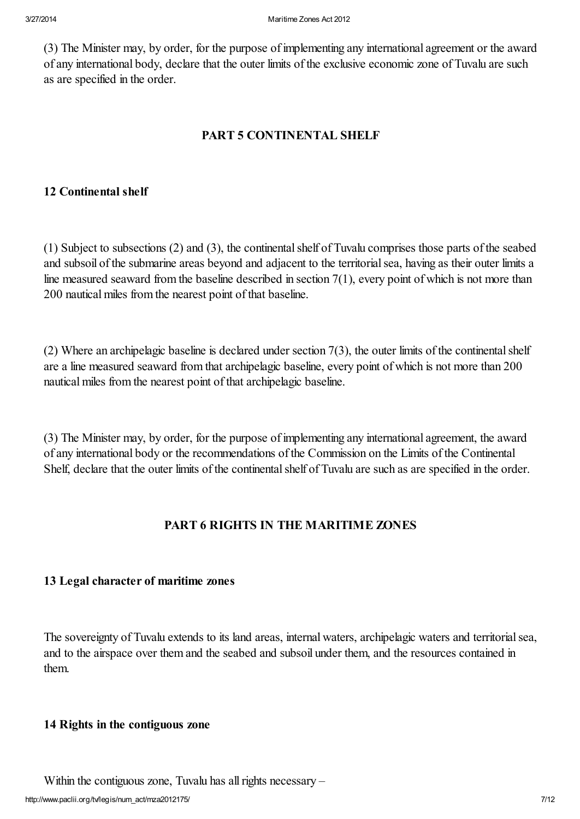(3) The Minister may, by order, for the purpose of implementing any international agreement or the award of any international body, declare that the outer limits of the exclusive economic zone of Tuvalu are such as are specified in the order.

# PART 5 CONTINENTAL SHELF

#### 12 Continental shelf

(1) Subject to subsections (2) and (3), the continentalshelf of Tuvalu comprises those parts of the seabed and subsoil of the submarine areas beyond and adjacent to the territorialsea, having as their outer limits a line measured seaward from the baseline described in section 7(1), every point of which is not more than 200 nautical miles from the nearest point of that baseline.

(2) Where an archipelagic baseline is declared under section  $7(3)$ , the outer limits of the continental shelf are a line measured seaward from that archipelagic baseline, every point of which is not more than 200 nautical miles from the nearest point of that archipelagic baseline.

(3) The Minister may, by order, for the purpose of implementing any international agreement, the award of any international body or the recommendations of the Commission on the Limits of the Continental Shelf, declare that the outer limits of the continental shelf of Tuvalu are such as are specified in the order.

# PART 6 RIGHTS IN THE MARITIME ZONES

#### 13 Legal character of maritime zones

The sovereignty of Tuvalu extends to its land areas, internal waters, archipelagic waters and territorialsea, and to the airspace over them and the seabed and subsoil under them, and the resources contained in them.

#### 14 Rights in the contiguous zone

Within the contiguous zone, Tuvalu has all rights necessary -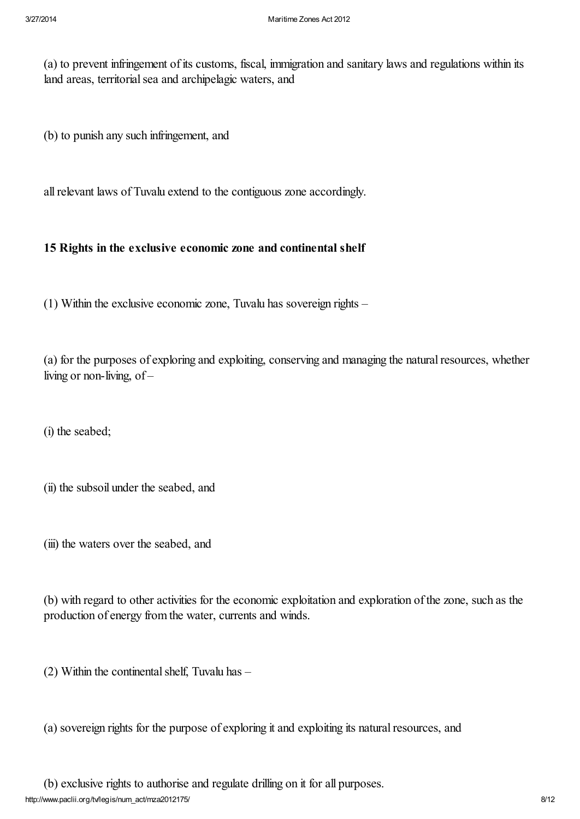(a) to prevent infringement of its customs, fiscal, immigration and sanitary laws and regulations within its land areas, territorial sea and archipelagic waters, and

(b) to punish any such infringement, and

allrelevant laws of Tuvalu extend to the contiguous zone accordingly.

#### 15 Rights in the exclusive economic zone and continental shelf

(1) Within the exclusive economic zone, Tuvalu has sovereign rights –

(a) for the purposes of exploring and exploiting, conserving and managing the naturalresources, whether living or non-living, of –

(i) the seabed;

(ii) the subsoil under the seabed, and

(iii) the waters over the seabed, and

(b) with regard to other activities for the economic exploitation and exploration of the zone, such as the production of energy from the water, currents and winds.

(2) Within the continental shelf, Tuvalu has  $-$ 

(a) sovereign rights for the purpose of exploring it and exploiting its naturalresources, and

(b) exclusive rights to authorise and regulate drilling on it for all purposes.

http://www.paclii.org/tv/legis/num\_act/mza2012175/ 8/12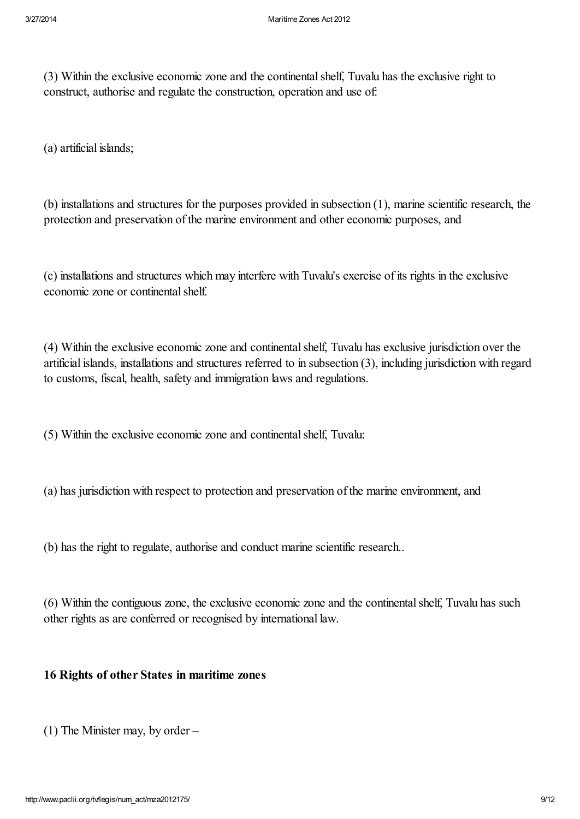(3) Within the exclusive economic zone and the continentalshelf, Tuvalu has the exclusive right to construct, authorise and regulate the construction, operation and use of:

(a) artificial islands;

(b) installations and structures for the purposes provided in subsection (1), marine scientific research, the protection and preservation of the marine environment and other economic purposes, and

(c) installations and structures which may interfere with Tuvalu's exercise of its rights in the exclusive economic zone or continental shelf.

(4) Within the exclusive economic zone and continentalshelf, Tuvalu has exclusive jurisdiction over the artificial islands, installations and structures referred to in subsection (3), including jurisdiction with regard to customs, fiscal, health, safety and immigration laws and regulations.

(5) Within the exclusive economic zone and continentalshelf, Tuvalu:

(a) has jurisdiction with respect to protection and preservation of the marine environment, and

(b) has the right to regulate, authorise and conduct marine scientific research..

(6) Within the contiguous zone, the exclusive economic zone and the continentalshelf, Tuvalu has such other rights as are conferred or recognised by international law.

#### 16 Rights of other States in maritime zones

(1) The Minister may, by order –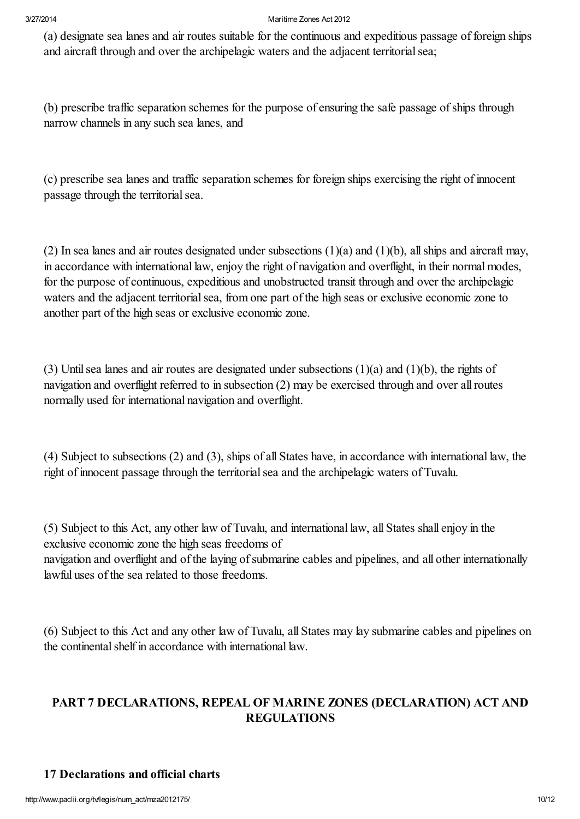(a) designate sea lanes and air routes suitable for the continuous and expeditious passage of foreign ships and aircraft through and over the archipelagic waters and the adjacent territorial sea;

(b) prescribe traffic separation schemes for the purpose of ensuring the safe passage of ships through narrow channels in any such sea lanes, and

(c) prescribe sea lanes and traffic separation schemes for foreign ships exercising the right of innocent passage through the territorial sea.

(2) In sea lanes and air routes designated under subsections (1)(a) and (1)(b), allships and aircraft may, in accordance with international law, enjoy the right of navigation and overflight, in their normal modes, for the purpose of continuous, expeditious and unobstructed transit through and over the archipelagic waters and the adjacent territorial sea, from one part of the high seas or exclusive economic zone to another part of the high seas or exclusive economic zone.

(3) Until sea lanes and air routes are designated under subsections  $(1)(a)$  and  $(1)(b)$ , the rights of navigation and overflight referred to in subsection (2) may be exercised through and over allroutes normally used for international navigation and overflight.

(4) Subject to subsections (2) and (3), ships of all States have, in accordance with international law, the right of innocent passage through the territorial sea and the archipelagic waters of Tuvalu.

(5) Subject to this Act, any other law of Tuvalu, and international law, all States shall enjoy in the exclusive economic zone the high seas freedoms of navigation and overflight and of the laying of submarine cables and pipelines, and all other internationally lawful uses of the sea related to those freedoms.

(6) Subject to this Act and any other law of Tuvalu, all States may lay submarine cables and pipelines on the continental shelf in accordance with international law.

# PART 7 DECLARATIONS, REPEAL OF MARINE ZONES (DECLARATION) ACT AND REGULATIONS

# 17 Declarations and official charts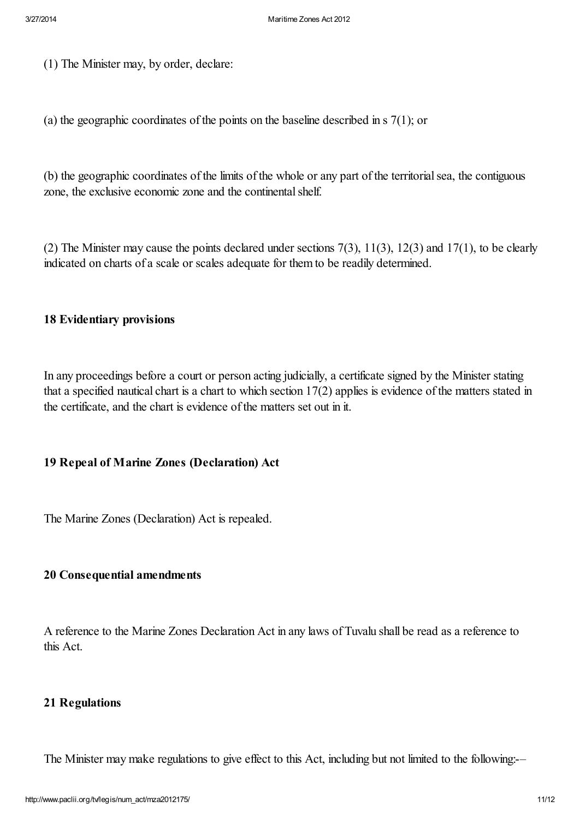(1) The Minister may, by order, declare:

(a) the geographic coordinates of the points on the baseline described in  $\frac{s}{1}$ ; or

(b) the geographic coordinates of the limits of the whole or any part of the territorialsea, the contiguous zone, the exclusive economic zone and the continental shelf.

(2) The Minister may cause the points declared under sections  $7(3)$ ,  $11(3)$ ,  $12(3)$  and  $17(1)$ , to be clearly indicated on charts of a scale or scales adequate for them to be readily determined.

#### 18 Evidentiary provisions

In any proceedings before a court or person acting judicially, a certificate signed by the Minister stating that a specified nautical chart is a chart to which section 17(2) applies is evidence of the matters stated in the certificate, and the chart is evidence of the matters set out in it.

# 19 Repeal of Marine Zones (Declaration) Act

The Marine Zones (Declaration) Act is repealed.

#### 20 Consequential amendments

A reference to the Marine Zones Declaration Act in any laws of Tuvalu shall be read as a reference to this Act.

#### 21 Regulations

The Minister may make regulations to give effect to this Act, including but not limited to the following:-–